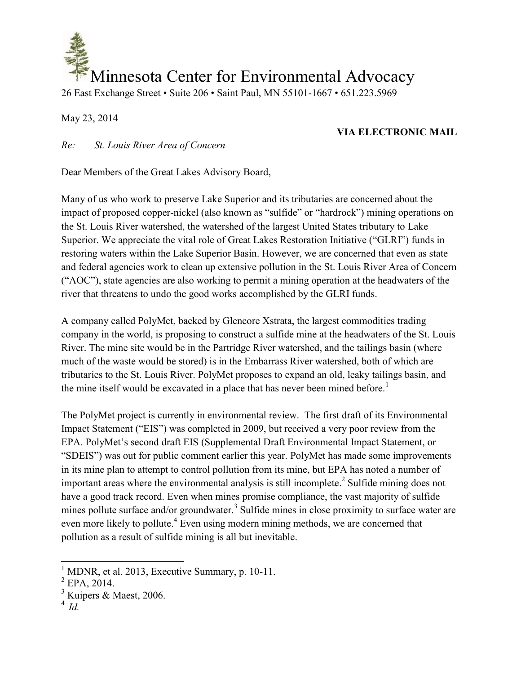

26 East Exchange Street • Suite 206 • Saint Paul, MN 55101-1667 • 651.223.5969

May 23, 2014

## **VIA ELECTRONIC MAIL**

*Re: St. Louis River Area of Concern* 

Dear Members of the Great Lakes Advisory Board,

Many of us who work to preserve Lake Superior and its tributaries are concerned about the impact of proposed copper-nickel (also known as "sulfide" or "hardrock") mining operations on the St. Louis River watershed, the watershed of the largest United States tributary to Lake Superior. We appreciate the vital role of Great Lakes Restoration Initiative ("GLRI") funds in restoring waters within the Lake Superior Basin. However, we are concerned that even as state and federal agencies work to clean up extensive pollution in the St. Louis River Area of Concern ("AOC"), state agencies are also working to permit a mining operation at the headwaters of the river that threatens to undo the good works accomplished by the GLRI funds.

A company called PolyMet, backed by Glencore Xstrata, the largest commodities trading company in the world, is proposing to construct a sulfide mine at the headwaters of the St. Louis River. The mine site would be in the Partridge River watershed, and the tailings basin (where much of the waste would be stored) is in the Embarrass River watershed, both of which are tributaries to the St. Louis River. PolyMet proposes to expand an old, leaky tailings basin, and the mine itself would be excavated in a place that has never been mined before.<sup>1</sup>

The PolyMet project is currently in environmental review. The first draft of its Environmental Impact Statement ("EIS") was completed in 2009, but received a very poor review from the EPA. PolyMet's second draft EIS (Supplemental Draft Environmental Impact Statement, or "SDEIS") was out for public comment earlier this year. PolyMet has made some improvements in its mine plan to attempt to control pollution from its mine, but EPA has noted a number of important areas where the environmental analysis is still incomplete.<sup>2</sup> Sulfide mining does not have a good track record. Even when mines promise compliance, the vast majority of sulfide mines pollute surface and/or groundwater.<sup>3</sup> Sulfide mines in close proximity to surface water are even more likely to pollute.<sup>4</sup> Even using modern mining methods, we are concerned that pollution as a result of sulfide mining is all but inevitable.

 $\overline{a}$ 

 $<sup>1</sup>$  MDNR, et al. 2013, Executive Summary, p. 10-11.</sup>

 $^{2}$  EPA, 2014.

 $3$  Kuipers & Maest, 2006.

<sup>4</sup> *Id.*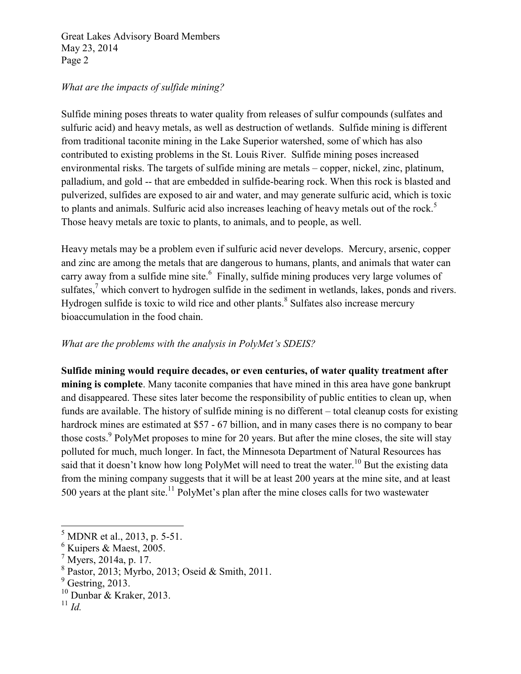## *What are the impacts of sulfide mining?*

Sulfide mining poses threats to water quality from releases of sulfur compounds (sulfates and sulfuric acid) and heavy metals, as well as destruction of wetlands. Sulfide mining is different from traditional taconite mining in the Lake Superior watershed, some of which has also contributed to existing problems in the St. Louis River. Sulfide mining poses increased environmental risks. The targets of sulfide mining are metals – copper, nickel, zinc, platinum, palladium, and gold -- that are embedded in sulfide-bearing rock. When this rock is blasted and pulverized, sulfides are exposed to air and water, and may generate sulfuric acid, which is toxic to plants and animals. Sulfuric acid also increases leaching of heavy metals out of the rock.<sup>5</sup> Those heavy metals are toxic to plants, to animals, and to people, as well.

Heavy metals may be a problem even if sulfuric acid never develops. Mercury, arsenic, copper and zinc are among the metals that are dangerous to humans, plants, and animals that water can carry away from a sulfide mine site.<sup>6</sup> Finally, sulfide mining produces very large volumes of sulfates, $\alpha$  which convert to hydrogen sulfide in the sediment in wetlands, lakes, ponds and rivers. Hydrogen sulfide is toxic to wild rice and other plants.<sup>8</sup> Sulfates also increase mercury bioaccumulation in the food chain.

## *What are the problems with the analysis in PolyMet's SDEIS?*

**Sulfide mining would require decades, or even centuries, of water quality treatment after mining is complete**. Many taconite companies that have mined in this area have gone bankrupt and disappeared. These sites later become the responsibility of public entities to clean up, when funds are available. The history of sulfide mining is no different – total cleanup costs for existing hardrock mines are estimated at \$57 - 67 billion, and in many cases there is no company to bear those costs.<sup>9</sup> PolyMet proposes to mine for 20 years. But after the mine closes, the site will stay polluted for much, much longer. In fact, the Minnesota Department of Natural Resources has said that it doesn't know how long PolyMet will need to treat the water.<sup>10</sup> But the existing data from the mining company suggests that it will be at least 200 years at the mine site, and at least 500 years at the plant site.<sup>11</sup> PolyMet's plan after the mine closes calls for two wastewater

 $\overline{\phantom{a}}$ 

 $<sup>5</sup>$  MDNR et al., 2013, p. 5-51.</sup>

<sup>6</sup> Kuipers & Maest, 2005.

 $^7$  Myers, 2014a, p. 17.

<sup>8</sup> Pastor, 2013; Myrbo, 2013; Oseid & Smith, 2011.

 $<sup>9</sup>$  Gestring, 2013.</sup>

<sup>10</sup> Dunbar & Kraker, 2013.

<sup>11</sup> *Id.*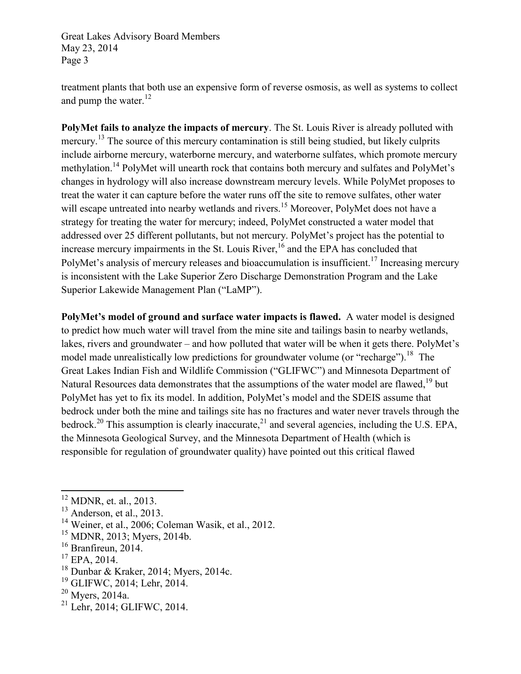treatment plants that both use an expensive form of reverse osmosis, as well as systems to collect and pump the water. $^{12}$ 

**PolyMet fails to analyze the impacts of mercury**. The St. Louis River is already polluted with mercury.<sup>13</sup> The source of this mercury contamination is still being studied, but likely culprits include airborne mercury, waterborne mercury, and waterborne sulfates, which promote mercury methylation.<sup>14</sup> PolyMet will unearth rock that contains both mercury and sulfates and PolyMet's changes in hydrology will also increase downstream mercury levels. While PolyMet proposes to treat the water it can capture before the water runs off the site to remove sulfates, other water will escape untreated into nearby wetlands and rivers.<sup>15</sup> Moreover, PolyMet does not have a strategy for treating the water for mercury; indeed, PolyMet constructed a water model that addressed over 25 different pollutants, but not mercury. PolyMet's project has the potential to increase mercury impairments in the St. Louis River,  $16$  and the EPA has concluded that PolyMet's analysis of mercury releases and bioaccumulation is insufficient.<sup>17</sup> Increasing mercury is inconsistent with the Lake Superior Zero Discharge Demonstration Program and the Lake Superior Lakewide Management Plan ("LaMP").

**PolyMet's model of ground and surface water impacts is flawed.** A water model is designed to predict how much water will travel from the mine site and tailings basin to nearby wetlands, lakes, rivers and groundwater – and how polluted that water will be when it gets there. PolyMet's model made unrealistically low predictions for groundwater volume (or "recharge").<sup>18</sup> The Great Lakes Indian Fish and Wildlife Commission ("GLIFWC") and Minnesota Department of Natural Resources data demonstrates that the assumptions of the water model are flawed.<sup>19</sup> but PolyMet has yet to fix its model. In addition, PolyMet's model and the SDEIS assume that bedrock under both the mine and tailings site has no fractures and water never travels through the bedrock.<sup>20</sup> This assumption is clearly inaccurate,<sup>21</sup> and several agencies, including the U.S. EPA, the Minnesota Geological Survey, and the Minnesota Department of Health (which is responsible for regulation of groundwater quality) have pointed out this critical flawed

 $\overline{a}$ 

- <sup>18</sup> Dunbar & Kraker, 2014; Myers, 2014c.
- <sup>19</sup> GLIFWC, 2014; Lehr, 2014.

<sup>21</sup> Lehr, 2014; GLIFWC, 2014.

 $12$  MDNR, et. al., 2013.

 $13$  Anderson, et al., 2013.

<sup>14</sup> Weiner, et al., 2006; Coleman Wasik, et al., 2012.

<sup>&</sup>lt;sup>15</sup> MDNR, 2013; Myers, 2014b.

<sup>&</sup>lt;sup>16</sup> Branfireun, 2014.

<sup>&</sup>lt;sup>17</sup> EPA, 2014.

<sup>20</sup> Myers, 2014a.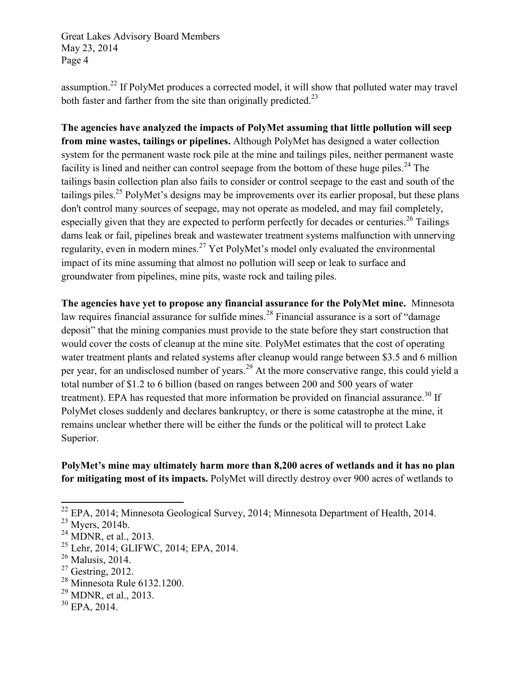assumption.<sup>22</sup> If PolyMet produces a corrected model, it will show that polluted water may travel both faster and farther from the site than originally predicted.<sup>23</sup>

**The agencies have analyzed the impacts of PolyMet assuming that little pollution will seep from mine wastes, tailings or pipelines.** Although PolyMet has designed a water collection system for the permanent waste rock pile at the mine and tailings piles, neither permanent waste facility is lined and neither can control seepage from the bottom of these huge piles.<sup>24</sup> The tailings basin collection plan also fails to consider or control seepage to the east and south of the tailings piles.<sup>25</sup> PolyMet's designs may be improvements over its earlier proposal, but these plans don't control many sources of seepage, may not operate as modeled, and may fail completely, especially given that they are expected to perform perfectly for decades or centuries.<sup>26</sup> Tailings dams leak or fail, pipelines break and wastewater treatment systems malfunction with unnerving regularity, even in modern mines.<sup>27</sup> Yet PolyMet's model only evaluated the environmental impact of its mine assuming that almost no pollution will seep or leak to surface and groundwater from pipelines, mine pits, waste rock and tailing piles.

**The agencies have yet to propose any financial assurance for the PolyMet mine.** Minnesota law requires financial assurance for sulfide mines.<sup>28</sup> Financial assurance is a sort of "damage" deposit" that the mining companies must provide to the state before they start construction that would cover the costs of cleanup at the mine site. PolyMet estimates that the cost of operating water treatment plants and related systems after cleanup would range between \$3.5 and 6 million per year, for an undisclosed number of years.<sup>29</sup> At the more conservative range, this could yield a total number of \$1.2 to 6 billion (based on ranges between 200 and 500 years of water treatment). EPA has requested that more information be provided on financial assurance.<sup>30</sup> If PolyMet closes suddenly and declares bankruptcy, or there is some catastrophe at the mine, it remains unclear whether there will be either the funds or the political will to protect Lake Superior.

**PolyMet's mine may ultimately harm more than 8,200 acres of wetlands and it has no plan for mitigating most of its impacts.** PolyMet will directly destroy over 900 acres of wetlands to

 $\overline{a}$ 

- <sup>25</sup> Lehr, 2014; GLIFWC, 2014; EPA, 2014.
- <sup>26</sup> Malusis, 2014.
- $27$  Gestring, 2012.
- <sup>28</sup> Minnesota Rule 6132.1200.
- <sup>29</sup> MDNR, et al., 2013.
- $30$  EPA, 2014.

 $22$  EPA, 2014; Minnesota Geological Survey, 2014; Minnesota Department of Health, 2014.

 $23$  Myers, 2014b.

 $24$  MDNR, et al., 2013.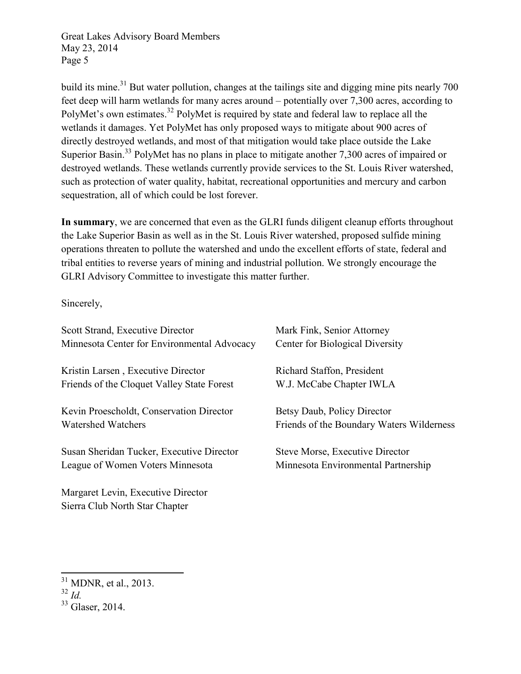build its mine.<sup>31</sup> But water pollution, changes at the tailings site and digging mine pits nearly 700 feet deep will harm wetlands for many acres around – potentially over 7,300 acres, according to PolyMet's own estimates.<sup>32</sup> PolyMet is required by state and federal law to replace all the wetlands it damages. Yet PolyMet has only proposed ways to mitigate about 900 acres of directly destroyed wetlands, and most of that mitigation would take place outside the Lake Superior Basin.<sup>33</sup> PolyMet has no plans in place to mitigate another 7,300 acres of impaired or destroyed wetlands. These wetlands currently provide services to the St. Louis River watershed, such as protection of water quality, habitat, recreational opportunities and mercury and carbon sequestration, all of which could be lost forever.

**In summary**, we are concerned that even as the GLRI funds diligent cleanup efforts throughout the Lake Superior Basin as well as in the St. Louis River watershed, proposed sulfide mining operations threaten to pollute the watershed and undo the excellent efforts of state, federal and tribal entities to reverse years of mining and industrial pollution. We strongly encourage the GLRI Advisory Committee to investigate this matter further.

Sincerely,

| Scott Strand, Executive Director            | Mark Fink, Senior Attorney                |
|---------------------------------------------|-------------------------------------------|
| Minnesota Center for Environmental Advocacy | Center for Biological Diversity           |
| Kristin Larsen, Executive Director          | Richard Staffon, President                |
| Friends of the Cloquet Valley State Forest  | W.J. McCabe Chapter IWLA                  |
| Kevin Proescholdt, Conservation Director    | Betsy Daub, Policy Director               |
| <b>Watershed Watchers</b>                   | Friends of the Boundary Waters Wilderness |
| Susan Sheridan Tucker, Executive Director   | Steve Morse, Executive Director           |
| League of Women Voters Minnesota            | Minnesota Environmental Partnership       |
| Margaret Levin, Executive Director          |                                           |

Sierra Club North Star Chapter

 $\overline{\phantom{a}}$  $31$  MDNR, et al., 2013.

 $rac{32}{1}$   $rac{1}{1}$ 

<sup>&</sup>lt;sup>33</sup> Glaser, 2014.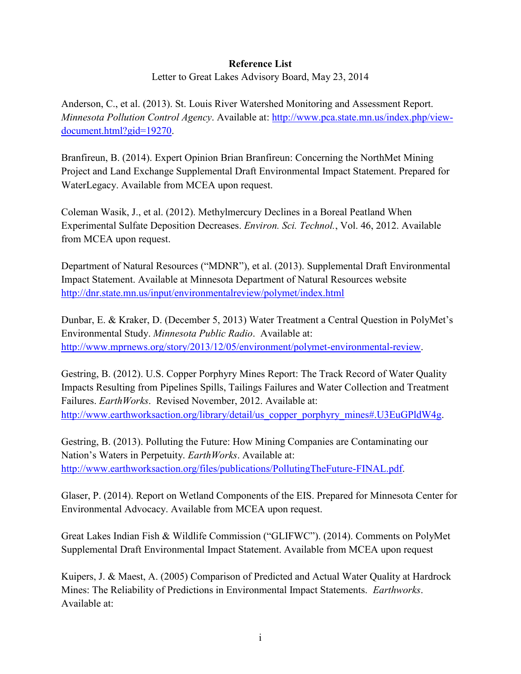## **Reference List**

Letter to Great Lakes Advisory Board, May 23, 2014

Anderson, C., et al. (2013). St. Louis River Watershed Monitoring and Assessment Report. *Minnesota Pollution Control Agency*. Available at: http://www.pca.state.mn.us/index.php/viewdocument.html?gid=19270.

Branfireun, B. (2014). Expert Opinion Brian Branfireun: Concerning the NorthMet Mining Project and Land Exchange Supplemental Draft Environmental Impact Statement. Prepared for WaterLegacy. Available from MCEA upon request.

Coleman Wasik, J., et al. (2012). Methylmercury Declines in a Boreal Peatland When Experimental Sulfate Deposition Decreases. *Environ. Sci. Technol.*, Vol. 46, 2012. Available from MCEA upon request.

Department of Natural Resources ("MDNR"), et al. (2013). Supplemental Draft Environmental Impact Statement. Available at Minnesota Department of Natural Resources website http://dnr.state.mn.us/input/environmentalreview/polymet/index.html

Dunbar, E. & Kraker, D. (December 5, 2013) Water Treatment a Central Question in PolyMet's Environmental Study. *Minnesota Public Radio*. Available at: http://www.mprnews.org/story/2013/12/05/environment/polymet-environmental-review.

Gestring, B. (2012). U.S. Copper Porphyry Mines Report: The Track Record of Water Quality Impacts Resulting from Pipelines Spills, Tailings Failures and Water Collection and Treatment Failures. *EarthWorks*. Revised November, 2012. Available at: http://www.earthworksaction.org/library/detail/us\_copper\_porphyry\_mines#.U3EuGPldW4g.

Gestring, B. (2013). Polluting the Future: How Mining Companies are Contaminating our Nation's Waters in Perpetuity. *EarthWorks*. Available at: http://www.earthworksaction.org/files/publications/PollutingTheFuture-FINAL.pdf.

Glaser, P. (2014). Report on Wetland Components of the EIS. Prepared for Minnesota Center for Environmental Advocacy. Available from MCEA upon request.

Great Lakes Indian Fish & Wildlife Commission ("GLIFWC"). (2014). Comments on PolyMet Supplemental Draft Environmental Impact Statement. Available from MCEA upon request

Kuipers, J. & Maest, A. (2005) Comparison of Predicted and Actual Water Quality at Hardrock Mines: The Reliability of Predictions in Environmental Impact Statements. *Earthworks*. Available at: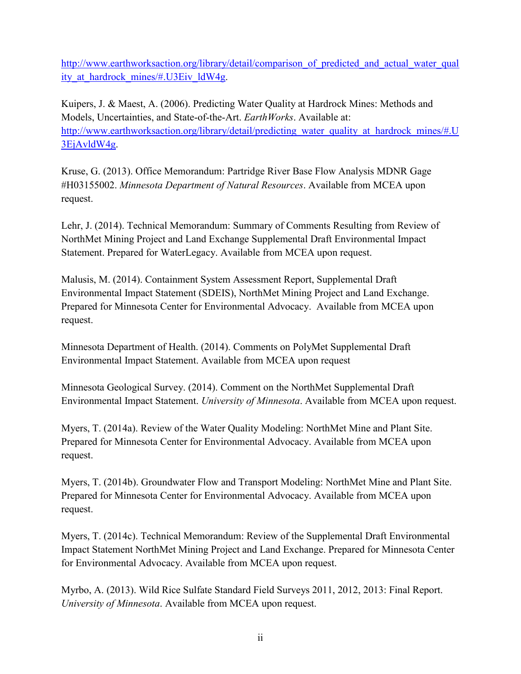http://www.earthworksaction.org/library/detail/comparison\_of\_predicted\_and\_actual\_water\_qual\_ ity at hardrock mines/#.U3Eiv ldW4g.

Kuipers, J. & Maest, A. (2006). Predicting Water Quality at Hardrock Mines: Methods and Models, Uncertainties, and State-of-the-Art. *EarthWorks*. Available at: http://www.earthworksaction.org/library/detail/predicting\_water\_quality\_at\_hardrock\_mines/#.U 3EjAvldW4g.

Kruse, G. (2013). Office Memorandum: Partridge River Base Flow Analysis MDNR Gage #H03155002. *Minnesota Department of Natural Resources*. Available from MCEA upon request.

Lehr, J. (2014). Technical Memorandum: Summary of Comments Resulting from Review of NorthMet Mining Project and Land Exchange Supplemental Draft Environmental Impact Statement. Prepared for WaterLegacy. Available from MCEA upon request.

Malusis, M. (2014). Containment System Assessment Report, Supplemental Draft Environmental Impact Statement (SDEIS), NorthMet Mining Project and Land Exchange. Prepared for Minnesota Center for Environmental Advocacy. Available from MCEA upon request.

Minnesota Department of Health. (2014). Comments on PolyMet Supplemental Draft Environmental Impact Statement. Available from MCEA upon request

Minnesota Geological Survey. (2014). Comment on the NorthMet Supplemental Draft Environmental Impact Statement. *University of Minnesota*. Available from MCEA upon request.

Myers, T. (2014a). Review of the Water Quality Modeling: NorthMet Mine and Plant Site. Prepared for Minnesota Center for Environmental Advocacy. Available from MCEA upon request.

Myers, T. (2014b). Groundwater Flow and Transport Modeling: NorthMet Mine and Plant Site. Prepared for Minnesota Center for Environmental Advocacy. Available from MCEA upon request.

Myers, T. (2014c). Technical Memorandum: Review of the Supplemental Draft Environmental Impact Statement NorthMet Mining Project and Land Exchange. Prepared for Minnesota Center for Environmental Advocacy. Available from MCEA upon request.

Myrbo, A. (2013). Wild Rice Sulfate Standard Field Surveys 2011, 2012, 2013: Final Report. *University of Minnesota*. Available from MCEA upon request.